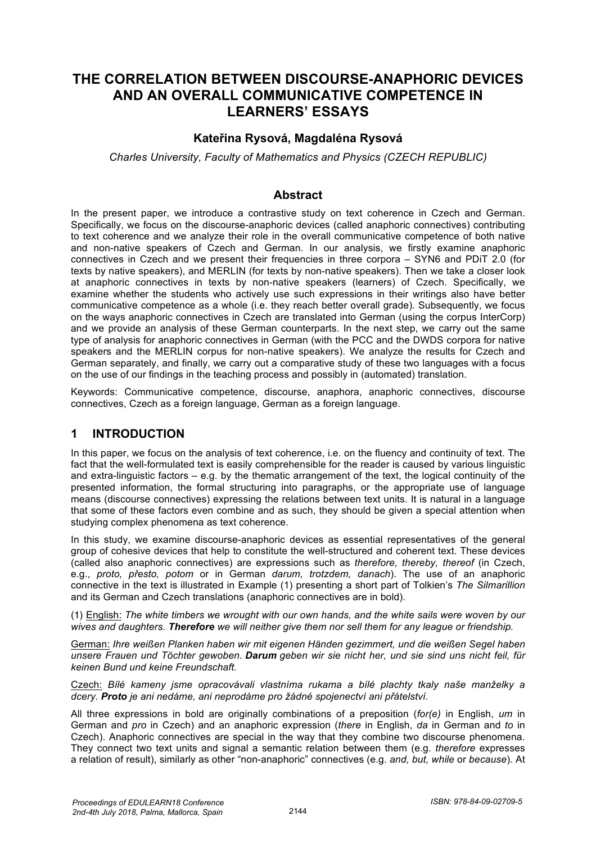# **THE CORRELATION BETWEEN DISCOURSE-ANAPHORIC DEVICES AND AN OVERALL COMMUNICATIVE COMPETENCE IN LEARNERS' ESSAYS**

## **Kateřina Rysová, Magdaléna Rysová**

*Charles University, Faculty of Mathematics and Physics (CZECH REPUBLIC)*

### **Abstract**

In the present paper, we introduce a contrastive study on text coherence in Czech and German. Specifically, we focus on the discourse-anaphoric devices (called anaphoric connectives) contributing to text coherence and we analyze their role in the overall communicative competence of both native and non-native speakers of Czech and German. In our analysis, we firstly examine anaphoric connectives in Czech and we present their frequencies in three corpora – SYN6 and PDiT 2.0 (for texts by native speakers), and MERLIN (for texts by non-native speakers). Then we take a closer look at anaphoric connectives in texts by non-native speakers (learners) of Czech. Specifically, we examine whether the students who actively use such expressions in their writings also have better communicative competence as a whole (i.e. they reach better overall grade). Subsequently, we focus on the ways anaphoric connectives in Czech are translated into German (using the corpus InterCorp) and we provide an analysis of these German counterparts. In the next step, we carry out the same type of analysis for anaphoric connectives in German (with the PCC and the DWDS corpora for native speakers and the MERLIN corpus for non-native speakers). We analyze the results for Czech and German separately, and finally, we carry out a comparative study of these two languages with a focus on the use of our findings in the teaching process and possibly in (automated) translation.

Keywords: Communicative competence, discourse, anaphora, anaphoric connectives, discourse connectives, Czech as a foreign language, German as a foreign language.

## **1 INTRODUCTION**

In this paper, we focus on the analysis of text coherence, i.e. on the fluency and continuity of text. The fact that the well-formulated text is easily comprehensible for the reader is caused by various linguistic and extra-linguistic factors – e.g. by the thematic arrangement of the text, the logical continuity of the presented information, the formal structuring into paragraphs, or the appropriate use of language means (discourse connectives) expressing the relations between text units. It is natural in a language that some of these factors even combine and as such, they should be given a special attention when studying complex phenomena as text coherence.

In this study, we examine discourse-anaphoric devices as essential representatives of the general group of cohesive devices that help to constitute the well-structured and coherent text. These devices (called also anaphoric connectives) are expressions such as *therefore, thereby, thereof* (in Czech, e.g., *proto, přesto, potom* or in German *darum, trotzdem, danach*). The use of an anaphoric connective in the text is illustrated in Example (1) presenting a short part of Tolkien's *The Silmarillion* and its German and Czech translations (anaphoric connectives are in bold).

(1) English: *The white timbers we wrought with our own hands, and the white sails were woven by our wives and daughters. Therefore we will neither give them nor sell them for any league or friendship.*

German: *Ihre weißen Planken haben wir mit eigenen Händen gezimmert, und die weißen Segel haben unsere Frauen und Töchter gewoben. Darum geben wir sie nicht her, und sie sind uns nicht feil, für keinen Bund und keine Freundschaft.*

Czech: *Bílé kameny jsme opracovávali vlastníma rukama a bílé plachty tkaly naše manželky a dcery. Proto je ani nedáme, ani neprodáme pro žádné spojenectví ani přátelství.* 

All three expressions in bold are originally combinations of a preposition (*for(e)* in English, *um* in German and *pro* in Czech) and an anaphoric expression (*there* in English, *da* in German and *to* in Czech). Anaphoric connectives are special in the way that they combine two discourse phenomena. They connect two text units and signal a semantic relation between them (e.g. *therefore* expresses a relation of result), similarly as other "non-anaphoric" connectives (e.g. *and, but, while* or *because*). At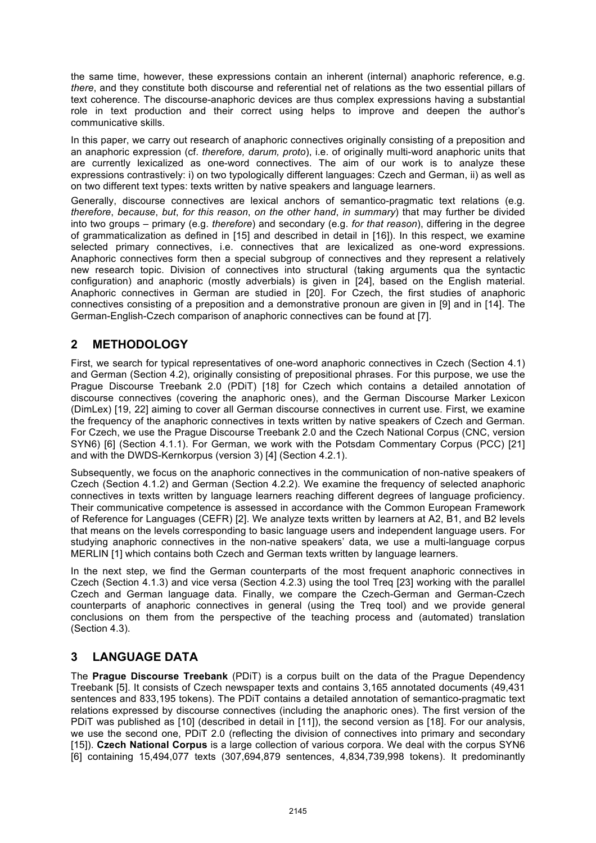the same time, however, these expressions contain an inherent (internal) anaphoric reference, e.g. *there*, and they constitute both discourse and referential net of relations as the two essential pillars of text coherence. The discourse-anaphoric devices are thus complex expressions having a substantial role in text production and their correct using helps to improve and deepen the author's communicative skills.

In this paper, we carry out research of anaphoric connectives originally consisting of a preposition and an anaphoric expression (cf. *therefore, darum, proto*), i.e. of originally multi-word anaphoric units that are currently lexicalized as one-word connectives. The aim of our work is to analyze these expressions contrastively: i) on two typologically different languages: Czech and German, ii) as well as on two different text types: texts written by native speakers and language learners.

Generally, discourse connectives are lexical anchors of semantico-pragmatic text relations (e.g. *therefore*, *because*, *but*, *for this reason*, *on the other hand*, *in summary*) that may further be divided into two groups – primary (e.g. *therefore*) and secondary (e.g. *for that reason*), differing in the degree of grammaticalization as defined in [15] and described in detail in [16]). In this respect, we examine selected primary connectives, i.e. connectives that are lexicalized as one-word expressions. Anaphoric connectives form then a special subgroup of connectives and they represent a relatively new research topic. Division of connectives into structural (taking arguments qua the syntactic configuration) and anaphoric (mostly adverbials) is given in [24], based on the English material. Anaphoric connectives in German are studied in [20]. For Czech, the first studies of anaphoric connectives consisting of a preposition and a demonstrative pronoun are given in [9] and in [14]. The German-English-Czech comparison of anaphoric connectives can be found at [7].

# **2 METHODOLOGY**

First, we search for typical representatives of one-word anaphoric connectives in Czech (Section 4.1) and German (Section 4.2), originally consisting of prepositional phrases. For this purpose, we use the Prague Discourse Treebank 2.0 (PDiT) [18] for Czech which contains a detailed annotation of discourse connectives (covering the anaphoric ones), and the German Discourse Marker Lexicon (DimLex) [19, 22] aiming to cover all German discourse connectives in current use. First, we examine the frequency of the anaphoric connectives in texts written by native speakers of Czech and German. For Czech, we use the Prague Discourse Treebank 2.0 and the Czech National Corpus (CNC, version SYN6) [6] (Section 4.1.1). For German, we work with the Potsdam Commentary Corpus (PCC) [21] and with the DWDS-Kernkorpus (version 3) [4] (Section 4.2.1).

Subsequently, we focus on the anaphoric connectives in the communication of non-native speakers of Czech (Section 4.1.2) and German (Section 4.2.2). We examine the frequency of selected anaphoric connectives in texts written by language learners reaching different degrees of language proficiency. Their communicative competence is assessed in accordance with the Common European Framework of Reference for Languages (CEFR) [2]. We analyze texts written by learners at A2, B1, and B2 levels that means on the levels corresponding to basic language users and independent language users. For studying anaphoric connectives in the non-native speakers' data, we use a multi-language corpus MERLIN [1] which contains both Czech and German texts written by language learners.

In the next step, we find the German counterparts of the most frequent anaphoric connectives in Czech (Section 4.1.3) and vice versa (Section 4.2.3) using the tool Treq [23] working with the parallel Czech and German language data. Finally, we compare the Czech-German and German-Czech counterparts of anaphoric connectives in general (using the Treq tool) and we provide general conclusions on them from the perspective of the teaching process and (automated) translation (Section 4.3).

# **3 LANGUAGE DATA**

The **Prague Discourse Treebank** (PDiT) is a corpus built on the data of the Prague Dependency Treebank [5]. It consists of Czech newspaper texts and contains 3,165 annotated documents (49,431 sentences and 833,195 tokens). The PDiT contains a detailed annotation of semantico-pragmatic text relations expressed by discourse connectives (including the anaphoric ones). The first version of the PDIT was published as [10] (described in detail in [11]), the second version as [18]. For our analysis, we use the second one, PDiT 2.0 (reflecting the division of connectives into primary and secondary [15]). **Czech National Corpus** is a large collection of various corpora. We deal with the corpus SYN6 [6] containing 15,494,077 texts (307,694,879 sentences, 4,834,739,998 tokens). It predominantly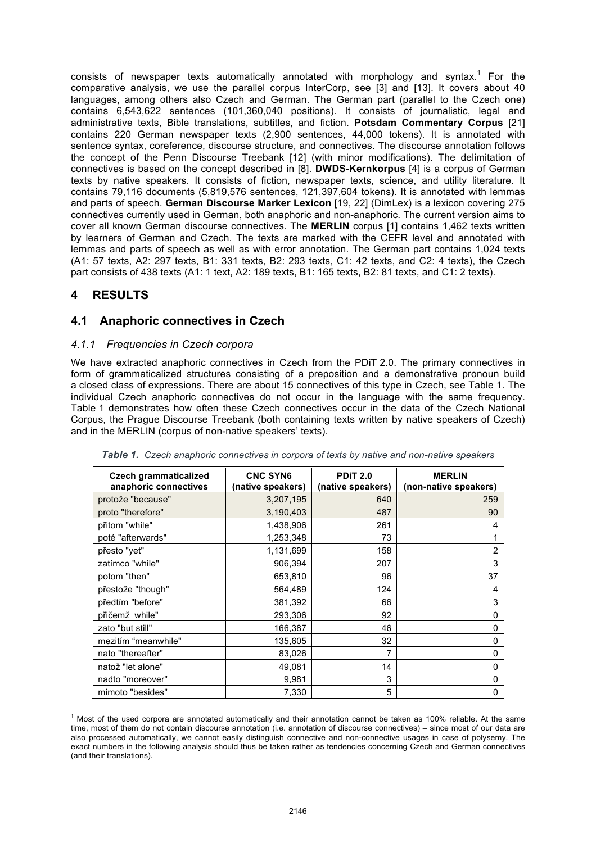consists of newspaper texts automatically annotated with morphology and syntax.<sup>1</sup> For the comparative analysis, we use the parallel corpus InterCorp, see [3] and [13]. It covers about 40 languages, among others also Czech and German. The German part (parallel to the Czech one) contains 6,543,622 sentences (101,360,040 positions). It consists of journalistic, legal and administrative texts, Bible translations, subtitles, and fiction. **Potsdam Commentary Corpus** [21] contains 220 German newspaper texts (2,900 sentences, 44,000 tokens). It is annotated with sentence syntax, coreference, discourse structure, and connectives. The discourse annotation follows the concept of the Penn Discourse Treebank [12] (with minor modifications). The delimitation of connectives is based on the concept described in [8]. **DWDS-Kernkorpus** [4] is a corpus of German texts by native speakers. It consists of fiction, newspaper texts, science, and utility literature. It contains 79,116 documents (5,819,576 sentences, 121,397,604 tokens). It is annotated with lemmas and parts of speech. **German Discourse Marker Lexicon** [19, 22] (DimLex) is a lexicon covering 275 connectives currently used in German, both anaphoric and non-anaphoric. The current version aims to cover all known German discourse connectives. The **MERLIN** corpus [1] contains 1,462 texts written by learners of German and Czech. The texts are marked with the CEFR level and annotated with lemmas and parts of speech as well as with error annotation. The German part contains 1,024 texts (A1: 57 texts, A2: 297 texts, B1: 331 texts, B2: 293 texts, C1: 42 texts, and C2: 4 texts), the Czech part consists of 438 texts (A1: 1 text, A2: 189 texts, B1: 165 texts, B2: 81 texts, and C1: 2 texts).

# **4 RESULTS**

## **4.1 Anaphoric connectives in Czech**

### *4.1.1 Frequencies in Czech corpora*

We have extracted anaphoric connectives in Czech from the PDiT 2.0. The primary connectives in form of grammaticalized structures consisting of a preposition and a demonstrative pronoun build a closed class of expressions. There are about 15 connectives of this type in Czech, see Table 1. The individual Czech anaphoric connectives do not occur in the language with the same frequency. Table 1 demonstrates how often these Czech connectives occur in the data of the Czech National Corpus, the Prague Discourse Treebank (both containing texts written by native speakers of Czech) and in the MERLIN (corpus of non-native speakers' texts).

| <b>Czech grammaticalized</b><br>anaphoric connectives | <b>CNC SYN6</b><br>(native speakers) | <b>PDIT 2.0</b><br>(native speakers) | <b>MERLIN</b><br>(non-native speakers) |
|-------------------------------------------------------|--------------------------------------|--------------------------------------|----------------------------------------|
| protože "because"                                     | 3,207,195                            | 640                                  | 259                                    |
| proto "therefore"                                     | 3,190,403                            | 487                                  | 90                                     |
| přitom "while"                                        | 1,438,906                            | 261                                  | 4                                      |
| poté "afterwards"                                     | 1,253,348                            | 73                                   |                                        |
| přesto "yet"                                          | 1,131,699                            | 158                                  | $\overline{2}$                         |
| zatímco "while"                                       | 906,394                              | 207                                  | 3                                      |
| potom "then"                                          | 653,810                              | 96                                   | 37                                     |
| přestože "though"                                     | 564,489                              | 124                                  | 4                                      |
| předtím "before"                                      | 381,392                              | 66                                   | 3                                      |
| přičemž while"                                        | 293,306                              | 92                                   | 0                                      |
| zato "but still"                                      | 166,387                              | 46                                   | 0                                      |
| mezitím "meanwhile"                                   | 135,605                              | 32                                   | 0                                      |
| nato "thereafter"                                     | 83,026                               | 7                                    | 0                                      |
| natož "let alone"                                     | 49,081                               | 14                                   | 0                                      |
| nadto "moreover"                                      | 9,981                                | 3                                    | 0                                      |
| mimoto "besides"                                      | 7,330                                | 5                                    | 0                                      |

*Table 1. Czech anaphoric connectives in corpora of texts by native and non-native speakers*

 $<sup>1</sup>$  Most of the used corpora are annotated automatically and their annotation cannot be taken as 100% reliable. At the same</sup> time, most of them do not contain discourse annotation (i.e. annotation of discourse connectives) – since most of our data are also processed automatically, we cannot easily distinguish connective and non-connective usages in case of polysemy. The exact numbers in the following analysis should thus be taken rather as tendencies concerning Czech and German connectives (and their translations).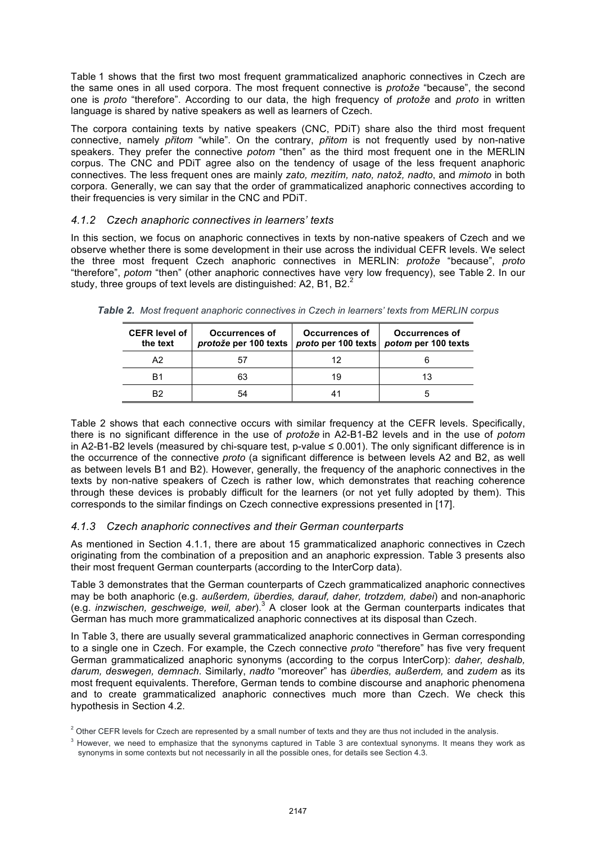Table 1 shows that the first two most frequent grammaticalized anaphoric connectives in Czech are the same ones in all used corpora. The most frequent connective is *protože* "because", the second one is *proto* "therefore". According to our data, the high frequency of *protože* and *proto* in written language is shared by native speakers as well as learners of Czech.

The corpora containing texts by native speakers (CNC, PDiT) share also the third most frequent connective, namely *přitom* "while". On the contrary, *přitom* is not frequently used by non-native speakers. They prefer the connective *potom* "then" as the third most frequent one in the MERLIN corpus. The CNC and PDiT agree also on the tendency of usage of the less frequent anaphoric connectives. The less frequent ones are mainly *zato, mezitím, nato, natož, nadto*, and *mimoto* in both corpora. Generally, we can say that the order of grammaticalized anaphoric connectives according to their frequencies is very similar in the CNC and PDiT.

### *4.1.2 Czech anaphoric connectives in learners' texts*

In this section, we focus on anaphoric connectives in texts by non-native speakers of Czech and we observe whether there is some development in their use across the individual CEFR levels. We select the three most frequent Czech anaphoric connectives in MERLIN: *protože* "because", *proto* "therefore", *potom* "then" (other anaphoric connectives have very low frequency), see Table 2. In our study, three groups of text levels are distinguished: A2, B1, B2. $^{2}$ 

| <b>CEFR level of I</b><br>the text | Occurrences of<br>protože per 100 texts   proto per 100 texts   potom per 100 texts | <b>Occurrences of</b> | <b>Occurrences of</b> |
|------------------------------------|-------------------------------------------------------------------------------------|-----------------------|-----------------------|
| A2                                 |                                                                                     |                       |                       |
| B1                                 | 63                                                                                  | 19                    |                       |
| R2                                 | 54                                                                                  |                       |                       |

*Table 2. Most frequent anaphoric connectives in Czech in learners' texts from MERLIN corpus*

Table 2 shows that each connective occurs with similar frequency at the CEFR levels. Specifically, there is no significant difference in the use of *protože* in A2-B1-B2 levels and in the use of *potom* in A2-B1-B2 levels (measured by chi-square test, p-value ≤ 0.001). The only significant difference is in the occurrence of the connective *proto* (a significant difference is between levels A2 and B2, as well as between levels B1 and B2). However, generally, the frequency of the anaphoric connectives in the texts by non-native speakers of Czech is rather low, which demonstrates that reaching coherence through these devices is probably difficult for the learners (or not yet fully adopted by them). This corresponds to the similar findings on Czech connective expressions presented in [17].

## *4.1.3 Czech anaphoric connectives and their German counterparts*

As mentioned in Section 4.1.1, there are about 15 grammaticalized anaphoric connectives in Czech originating from the combination of a preposition and an anaphoric expression. Table 3 presents also their most frequent German counterparts (according to the InterCorp data).

Table 3 demonstrates that the German counterparts of Czech grammaticalized anaphoric connectives may be both anaphoric (e.g. *außerdem, überdies, darauf, daher, trotzdem, dabei*) and non-anaphoric (e.g. *inzwischen, geschweige, weil, aber*).<sup>3</sup> A closer look at the German counterparts indicates that German has much more grammaticalized anaphoric connectives at its disposal than Czech.

In Table 3, there are usually several grammaticalized anaphoric connectives in German corresponding to a single one in Czech. For example, the Czech connective *proto* "therefore" has five very frequent German grammaticalized anaphoric synonyms (according to the corpus InterCorp): *daher, deshalb, darum, deswegen, demnach*. Similarly, *nadto* "moreover" has *überdies, außerdem,* and *zudem* as its most frequent equivalents. Therefore, German tends to combine discourse and anaphoric phenomena and to create grammaticalized anaphoric connectives much more than Czech. We check this hypothesis in Section 4.2.

 $2$  Other CEFR levels for Czech are represented by a small number of texts and they are thus not included in the analysis.

<sup>&</sup>lt;sup>3</sup> However, we need to emphasize that the synonyms captured in Table 3 are contextual synonyms. It means they work as synonyms in some contexts but not necessarily in all the possible ones, for details see Section 4.3.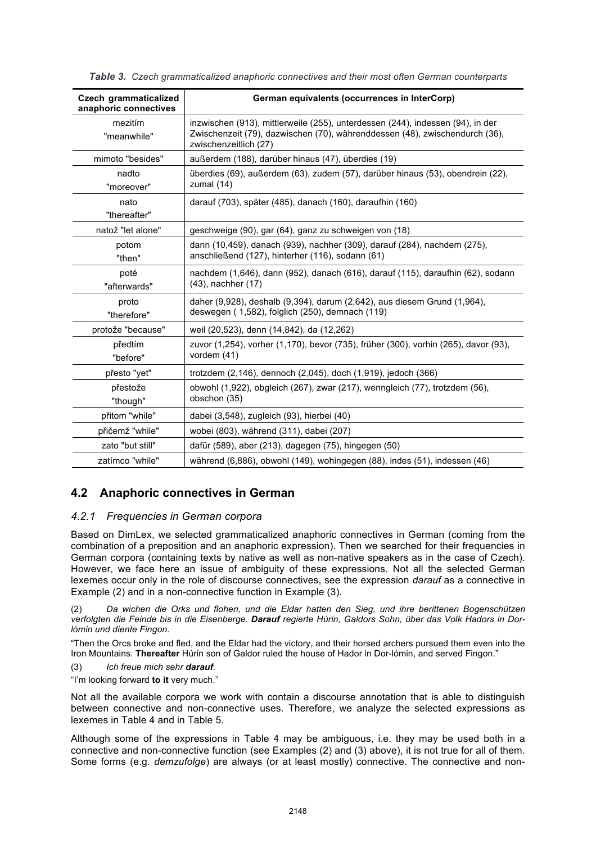| <b>Czech grammaticalized</b><br>anaphoric connectives | German equivalents (occurrences in InterCorp)                                                                                                                                          |
|-------------------------------------------------------|----------------------------------------------------------------------------------------------------------------------------------------------------------------------------------------|
| mezitím<br>"meanwhile"                                | inzwischen (913), mittlerweile (255), unterdessen (244), indessen (94), in der<br>Zwischenzeit (79), dazwischen (70), währenddessen (48), zwischendurch (36),<br>zwischenzeitlich (27) |
| mimoto "besides"                                      | außerdem (188), darüber hinaus (47), überdies (19)                                                                                                                                     |
| nadto<br>"moreover"                                   | überdies (69), außerdem (63), zudem (57), darüber hinaus (53), obendrein (22),<br>zumal (14)                                                                                           |
| nato<br>"thereafter"                                  | darauf (703), später (485), danach (160), daraufhin (160)                                                                                                                              |
| natož "let alone"                                     | geschweige (90), gar (64), ganz zu schweigen von (18)                                                                                                                                  |
| potom<br>"then"                                       | dann (10,459), danach (939), nachher (309), darauf (284), nachdem (275),<br>anschließend (127), hinterher (116), sodann (61)                                                           |
| poté<br>"afterwards"                                  | nachdem (1,646), dann (952), danach (616), darauf (115), daraufhin (62), sodann<br>(43), nachher (17)                                                                                  |
| proto<br>"therefore"                                  | daher (9,928), deshalb (9,394), darum (2,642), aus diesem Grund (1,964),<br>deswegen (1,582), folglich (250), demnach (119)                                                            |
| protože "because"                                     | weil (20,523), denn (14,842), da (12,262)                                                                                                                                              |
| předtím<br>"before"                                   | zuvor (1,254), vorher (1,170), bevor (735), früher (300), vorhin (265), davor (93),<br>vordem (41)                                                                                     |
| přesto "yet"                                          | trotzdem (2,146), dennoch (2,045), doch (1,919), jedoch (366)                                                                                                                          |
| přestože<br>"though"                                  | obwohl (1,922), obgleich (267), zwar (217), wenngleich (77), trotzdem (56),<br>obschon (35)                                                                                            |
| přitom "while"                                        | dabei (3,548), zugleich (93), hierbei (40)                                                                                                                                             |
| přičemž "while"                                       | wobei (803), während (311), dabei (207)                                                                                                                                                |
| zato "but still"                                      | dafür (589), aber (213), dagegen (75), hingegen (50)                                                                                                                                   |
| zatímco "while"                                       | während (6,886), obwohl (149), wohingegen (88), indes (51), indessen (46)                                                                                                              |

*Table 3. Czech grammaticalized anaphoric connectives and their most often German counterparts*

# **4.2 Anaphoric connectives in German**

### *4.2.1 Frequencies in German corpora*

Based on DimLex, we selected grammaticalized anaphoric connectives in German (coming from the combination of a preposition and an anaphoric expression). Then we searched for their frequencies in German corpora (containing texts by native as well as non-native speakers as in the case of Czech). However, we face here an issue of ambiguity of these expressions. Not all the selected German lexemes occur only in the role of discourse connectives, see the expression *darauf* as a connective in Example (2) and in a non-connective function in Example (3).

(2) *Da wichen die Orks und flohen, und die Eldar hatten den Sieg, und ihre berittenen Bogenschützen verfolgten die Feinde bis in die Eisenberge. Darauf regierte Húrin, Galdors Sohn, über das Volk Hadors in Dorlómin und diente Fingon*.

"Then the Orcs broke and fled, and the Eldar had the victory, and their horsed archers pursued them even into the Iron Mountains. **Thereafter** Húrin son of Galdor ruled the house of Hador in Dor-lómin, and served Fingon."

- (3) *Ich freue mich sehr darauf.*
- "I'm looking forward **to it** very much."

Not all the available corpora we work with contain a discourse annotation that is able to distinguish between connective and non-connective uses. Therefore, we analyze the selected expressions as lexemes in Table 4 and in Table 5.

Although some of the expressions in Table 4 may be ambiguous, i.e. they may be used both in a connective and non-connective function (see Examples (2) and (3) above), it is not true for all of them. Some forms (e.g. *demzufolge*) are always (or at least mostly) connective. The connective and non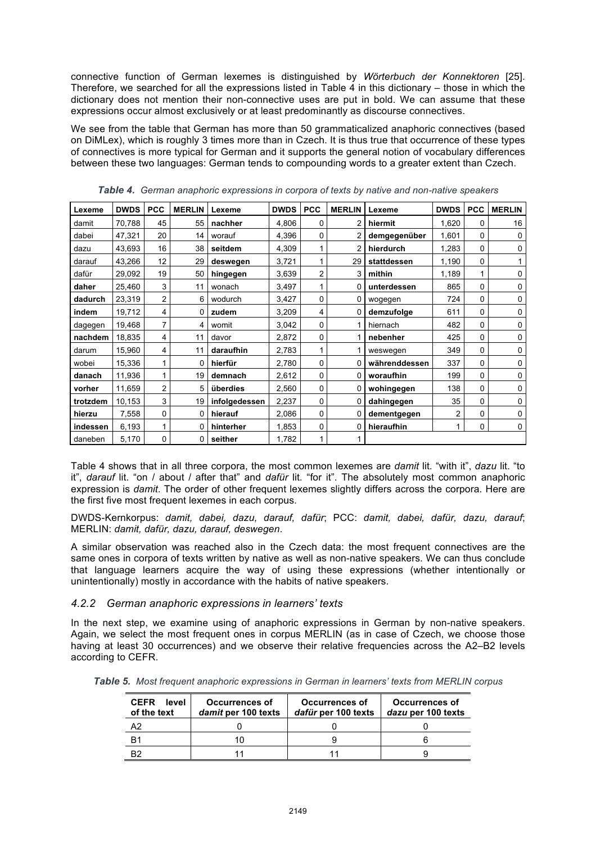connective function of German lexemes is distinguished by *Wörterbuch der Konnektoren* [25]. Therefore, we searched for all the expressions listed in Table 4 in this dictionary – those in which the dictionary does not mention their non-connective uses are put in bold. We can assume that these expressions occur almost exclusively or at least predominantly as discourse connectives.

We see from the table that German has more than 50 grammaticalized anaphoric connectives (based on DiMLex), which is roughly 3 times more than in Czech. It is thus true that occurrence of these types of connectives is more typical for German and it supports the general notion of vocabulary differences between these two languages: German tends to compounding words to a greater extent than Czech.

| Lexeme   | <b>DWDS</b> | <b>PCC</b> | <b>MERLIN</b> | Lexeme        | <b>DWDS</b> | <b>PCC</b> | <b>MERLIN</b> | Lexeme        | <b>DWDS</b> | <b>PCC</b>  | <b>MERLIN</b> |
|----------|-------------|------------|---------------|---------------|-------------|------------|---------------|---------------|-------------|-------------|---------------|
| damit    | 70,788      | 45         | 55            | nachher       | 4,806       | 0          |               | hiermit       | 1,620       | 0           | 16            |
| dabei    | 47,321      | 20         | 14            | worauf        | 4,396       | 0          | 2             | demgegenüber  | 1,601       | $\Omega$    | $\Omega$      |
| dazu     | 43,693      | 16         | 38            | seitdem       | 4,309       |            | 2             | hierdurch     | 1,283       | 0           | 0             |
| darauf   | 43,266      | 12         | 29            | deswegen      | 3,721       | 1          | 29            | stattdessen   | 1,190       | 0           |               |
| dafür    | 29,092      | 19         | 50            | hingegen      | 3,639       | 2          | 3             | mithin        | 1,189       | 1           | 0             |
| daher    | 25,460      | 3          | 11            | wonach        | 3,497       | 1          | 0             | unterdessen   | 865         | 0           | 0             |
| dadurch  | 23,319      | 2          | 6             | wodurch       | 3,427       | 0          | 0             | wogegen       | 724         | 0           | 0             |
| indem    | 19,712      | 4          | 0             | zudem         | 3,209       | 4          | 0             | demzufolge    | 611         | 0           | 0             |
| dagegen  | 19,468      | 7          | 4             | womit         | 3,042       | 0          |               | hiernach      | 482         | 0           | 0             |
| nachdem  | 18,835      | 4          | 11            | davor         | 2,872       | 0          |               | nebenher      | 425         | 0           | 0             |
| darum    | 15,960      | 4          | 11            | daraufhin     | 2,783       |            |               | weswegen      | 349         | 0           | 0             |
| wobei    | 15,336      |            | 0             | hierfür       | 2,780       | 0          | 0             | währenddessen | 337         | 0           | 0             |
| danach   | 11,936      | 1          | 19            | demnach       | 2,612       | 0          | 0             | woraufhin     | 199         | 0           | 0             |
| vorher   | 11,659      | 2          | 5             | überdies      | 2,560       | 0          | 0             | wohingegen    | 138         | 0           | 0             |
| trotzdem | 10,153      | 3          | 19            | infolgedessen | 2,237       | 0          | 0             | dahingegen    | 35          | 0           | 0             |
| hierzu   | 7,558       | 0          | 0             | hierauf       | 2,086       | 0          | 0             | dementgegen   | 2           | 0           | 0             |
| indessen | 6,193       |            | 0             | hinterher     | 1,853       | 0          | 0             | hieraufhin    |             | $\mathbf 0$ | 0             |
| daneben  | 5,170       | 0          | 0             | seither       | 1,782       | 1          |               |               |             |             |               |

*Table 4. German anaphoric expressions in corpora of texts by native and non-native speakers* 

Table 4 shows that in all three corpora, the most common lexemes are *damit* lit. "with it", *dazu* lit. "to it", *darauf* lit. "on / about / after that" and *dafür* lit. "for it". The absolutely most common anaphoric expression is *damit*. The order of other frequent lexemes slightly differs across the corpora. Here are the first five most frequent lexemes in each corpus.

DWDS-Kernkorpus: *damit, dabei, dazu, darauf, dafür*; PCC: *damit, dabei, dafür, dazu, darauf*; MERLIN: *damit, dafür, dazu, darauf, deswegen*.

A similar observation was reached also in the Czech data: the most frequent connectives are the same ones in corpora of texts written by native as well as non-native speakers. We can thus conclude that language learners acquire the way of using these expressions (whether intentionally or unintentionally) mostly in accordance with the habits of native speakers.

### *4.2.2 German anaphoric expressions in learners' texts*

In the next step, we examine using of anaphoric expressions in German by non-native speakers. Again, we select the most frequent ones in corpus MERLIN (as in case of Czech, we choose those having at least 30 occurrences) and we observe their relative frequencies across the A2–B2 levels according to CEFR.

*Table 5. Most frequent anaphoric expressions in German in learners' texts from MERLIN corpus*

| <b>CEFR</b><br>level<br>of the text | <b>Occurrences of</b><br>damit per 100 texts | Occurrences of<br>dafür per 100 texts | <b>Occurrences of</b><br>dazu per 100 texts |  |
|-------------------------------------|----------------------------------------------|---------------------------------------|---------------------------------------------|--|
| ר ה                                 |                                              |                                       |                                             |  |
| R٬                                  |                                              |                                       |                                             |  |
| פΩ                                  |                                              |                                       |                                             |  |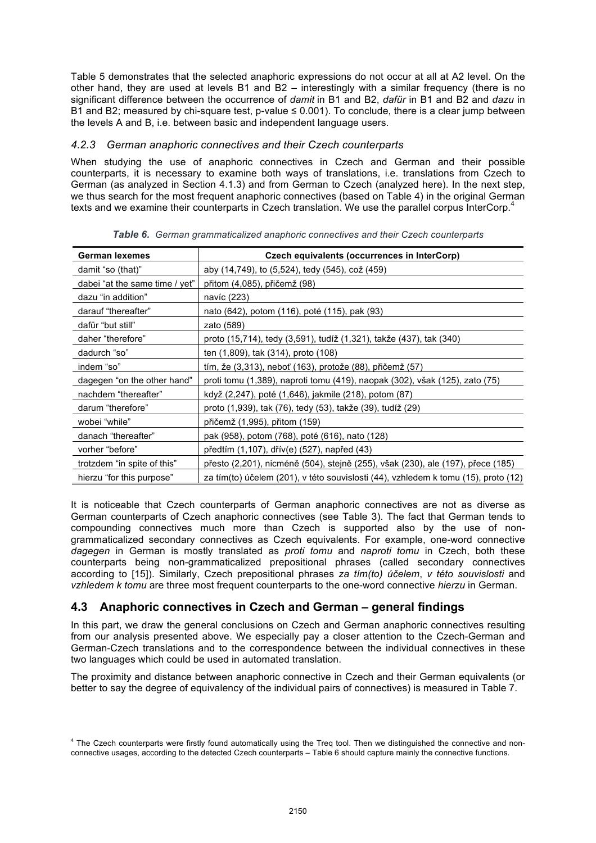Table 5 demonstrates that the selected anaphoric expressions do not occur at all at A2 level. On the other hand, they are used at levels B1 and B2 – interestingly with a similar frequency (there is no significant difference between the occurrence of *damit* in B1 and B2, *dafür* in B1 and B2 and *dazu* in B1 and B2; measured by chi-square test, p-value ≤ 0.001). To conclude, there is a clear jump between the levels A and B, i.e. between basic and independent language users.

### *4.2.3 German anaphoric connectives and their Czech counterparts*

When studying the use of anaphoric connectives in Czech and German and their possible counterparts, it is necessary to examine both ways of translations, i.e. translations from Czech to German (as analyzed in Section 4.1.3) and from German to Czech (analyzed here). In the next step, we thus search for the most frequent anaphoric connectives (based on Table 4) in the original German texts and we examine their counterparts in Czech translation. We use the parallel corpus InterCorp.<sup>4</sup>

| German lexemes                 | Czech equivalents (occurrences in InterCorp)                                       |
|--------------------------------|------------------------------------------------------------------------------------|
| damit "so (that)"              | aby (14,749), to (5,524), tedy (545), což (459)                                    |
| dabei "at the same time / yet" | přitom (4,085), přičemž (98)                                                       |
| dazu "in addition"             | navíc (223)                                                                        |
| darauf "thereafter"            | nato (642), potom (116), poté (115), pak (93)                                      |
| dafür "but still"              | zato (589)                                                                         |
| daher "therefore"              | proto (15,714), tedy (3,591), tudíž (1,321), takže (437), tak (340)                |
| dadurch "so"                   | ten (1,809), tak (314), proto (108)                                                |
| indem "so"                     | tím, že $(3,313)$ , neboť $(163)$ , protože $(88)$ , přičemž $(57)$                |
| dagegen "on the other hand"    | proti tomu (1,389), naproti tomu (419), naopak (302), však (125), zato (75)        |
| nachdem "thereafter"           | když (2,247), poté (1,646), jakmile (218), potom (87)                              |
| darum "therefore"              | proto (1,939), tak (76), tedy (53), takže (39), tudíž (29)                         |
| wobei "while"                  | přičemž (1,995), přitom (159)                                                      |
| danach "thereafter"            | pak (958), potom (768), poté (616), nato (128)                                     |
| vorher "before"                | předtím (1,107), dřív(e) (527), napřed (43)                                        |
| trotzdem "in spite of this"    | přesto (2,201), nicméně (504), stejně (255), však (230), ale (197), přece (185)    |
| hierzu "for this purpose"      | za tím(to) účelem (201), v této souvislosti (44), vzhledem k tomu (15), proto (12) |

*Table 6. German grammaticalized anaphoric connectives and their Czech counterparts*

It is noticeable that Czech counterparts of German anaphoric connectives are not as diverse as German counterparts of Czech anaphoric connectives (see Table 3). The fact that German tends to compounding connectives much more than Czech is supported also by the use of nongrammaticalized secondary connectives as Czech equivalents. For example, one-word connective *dagegen* in German is mostly translated as *proti tomu* and *naproti tomu* in Czech, both these counterparts being non-grammaticalized prepositional phrases (called secondary connectives according to [15]). Similarly, Czech prepositional phrases *za tím(to) účelem*, *v této souvislosti* and *vzhledem k tomu* are three most frequent counterparts to the one-word connective *hierzu* in German.

# **4.3 Anaphoric connectives in Czech and German – general findings**

In this part, we draw the general conclusions on Czech and German anaphoric connectives resulting from our analysis presented above. We especially pay a closer attention to the Czech-German and German-Czech translations and to the correspondence between the individual connectives in these two languages which could be used in automated translation.

The proximity and distance between anaphoric connective in Czech and their German equivalents (or better to say the degree of equivalency of the individual pairs of connectives) is measured in Table 7.

<sup>&</sup>lt;sup>4</sup> The Czech counterparts were firstly found automatically using the Treq tool. Then we distinguished the connective and nonconnective usages, according to the detected Czech counterparts – Table 6 should capture mainly the connective functions.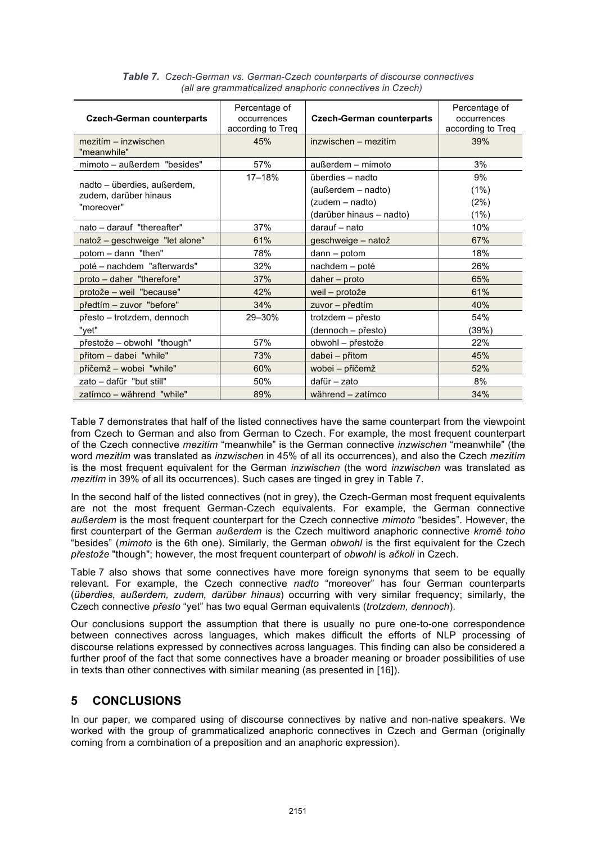| <b>Czech-German counterparts</b><br>mezitím – inzwischen           | Percentage of<br>occurrences<br>according to Treq<br>45% | <b>Czech-German counterparts</b><br>inzwischen – mezitím                              | Percentage of<br>occurrences<br>according to Treq<br>39% |
|--------------------------------------------------------------------|----------------------------------------------------------|---------------------------------------------------------------------------------------|----------------------------------------------------------|
| "meanwhile"                                                        |                                                          |                                                                                       |                                                          |
| mimoto - außerdem "besides"                                        | 57%                                                      | außerdem - mimoto                                                                     | 3%                                                       |
| nadto - überdies, außerdem,<br>zudem, darüber hinaus<br>"moreover" | 17-18%                                                   | überdies - nadto<br>(außerdem – nadto)<br>(zudem – nadto)<br>(darüber hinaus - nadto) | 9%<br>$(1\%)$<br>(2%)<br>(1%)                            |
| nato - darauf "thereafter"                                         | 37%                                                      | darauf - nato                                                                         | 10%                                                      |
| natož – geschweige "let alone"                                     | 61%                                                      | geschweige - natož                                                                    | 67%                                                      |
| potom - dann "then"                                                | 78%                                                      | $dann - potom$                                                                        | 18%                                                      |
| poté - nachdem "afterwards"                                        | 32%                                                      | nachdem - poté                                                                        | 26%                                                      |
| proto - daher "therefore"                                          | 37%                                                      | $daher$ – proto                                                                       | 65%                                                      |
| protože - weil "because"                                           | 42%                                                      | weil – protože                                                                        | 61%                                                      |
| předtím – zuvor "before"                                           | 34%                                                      | zuvor - předtím                                                                       | 40%                                                      |
| přesto – trotzdem, dennoch<br>"yet"                                | 29-30%                                                   | trotzdem - přesto<br>(dennoch - přesto)                                               | 54%<br>(39%)                                             |
| přestože – obwohl "though"                                         | 57%                                                      | obwohl - přestože                                                                     | 22%                                                      |
| přitom - dabei "while"                                             | 73%                                                      | dabei - přitom                                                                        | 45%                                                      |
| přičemž – wobei "while"                                            | 60%                                                      | wobei – přičemž                                                                       | 52%                                                      |
| zato - dafür "but still"                                           | 50%                                                      | dafür - zato                                                                          | 8%                                                       |
| zatímco - während "while"                                          | 89%                                                      | während - zatímco                                                                     | 34%                                                      |

*Table 7. Czech-German vs. German-Czech counterparts of discourse connectives (all are grammaticalized anaphoric connectives in Czech)*

Table 7 demonstrates that half of the listed connectives have the same counterpart from the viewpoint from Czech to German and also from German to Czech. For example, the most frequent counterpart of the Czech connective *mezitím* "meanwhile" is the German connective *inzwischen* "meanwhile" (the word *mezitím* was translated as *inzwischen* in 45% of all its occurrences), and also the Czech *mezitím* is the most frequent equivalent for the German *inzwischen* (the word *inzwischen* was translated as *mezitím* in 39% of all its occurrences). Such cases are tinged in grey in Table 7.

In the second half of the listed connectives (not in grey), the Czech-German most frequent equivalents are not the most frequent German-Czech equivalents. For example, the German connective *außerdem* is the most frequent counterpart for the Czech connective *mimoto* "besides". However, the first counterpart of the German *außerdem* is the Czech multiword anaphoric connective *kromě toho* "besides" (*mimoto* is the 6th one). Similarly, the German *obwohl* is the first equivalent for the Czech *přestože* "though"; however, the most frequent counterpart of *obwohl* is *ačkoli* in Czech.

Table 7 also shows that some connectives have more foreign synonyms that seem to be equally relevant. For example, the Czech connective *nadto* "moreover" has four German counterparts (*überdies, außerdem, zudem, darüber hinaus*) occurring with very similar frequency; similarly, the Czech connective *přesto* "yet" has two equal German equivalents (*trotzdem, dennoch*).

Our conclusions support the assumption that there is usually no pure one-to-one correspondence between connectives across languages, which makes difficult the efforts of NLP processing of discourse relations expressed by connectives across languages. This finding can also be considered a further proof of the fact that some connectives have a broader meaning or broader possibilities of use in texts than other connectives with similar meaning (as presented in [16]).

# **5 CONCLUSIONS**

In our paper, we compared using of discourse connectives by native and non-native speakers. We worked with the group of grammaticalized anaphoric connectives in Czech and German (originally coming from a combination of a preposition and an anaphoric expression).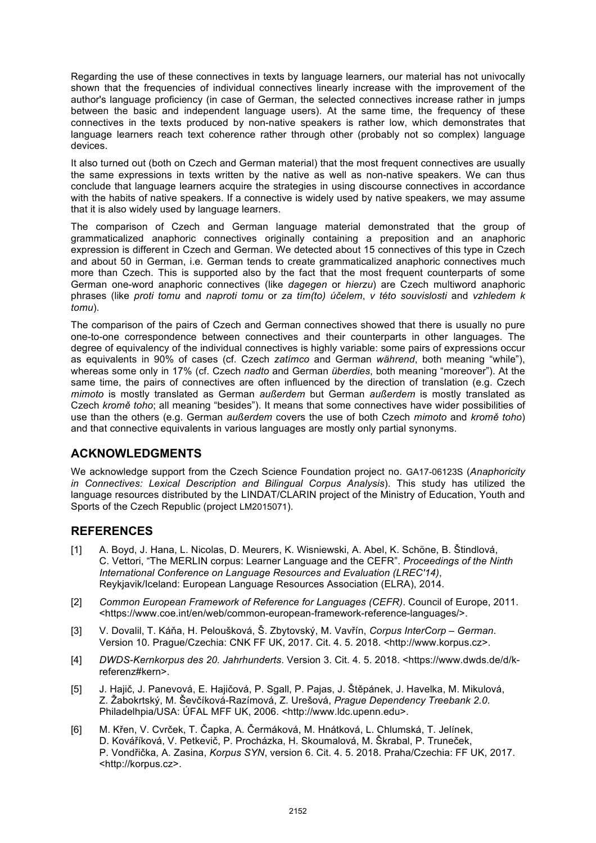Regarding the use of these connectives in texts by language learners, our material has not univocally shown that the frequencies of individual connectives linearly increase with the improvement of the author's language proficiency (in case of German, the selected connectives increase rather in jumps between the basic and independent language users). At the same time, the frequency of these connectives in the texts produced by non-native speakers is rather low, which demonstrates that language learners reach text coherence rather through other (probably not so complex) language devices.

It also turned out (both on Czech and German material) that the most frequent connectives are usually the same expressions in texts written by the native as well as non-native speakers. We can thus conclude that language learners acquire the strategies in using discourse connectives in accordance with the habits of native speakers. If a connective is widely used by native speakers, we may assume that it is also widely used by language learners.

The comparison of Czech and German language material demonstrated that the group of grammaticalized anaphoric connectives originally containing a preposition and an anaphoric expression is different in Czech and German. We detected about 15 connectives of this type in Czech and about 50 in German, i.e. German tends to create grammaticalized anaphoric connectives much more than Czech. This is supported also by the fact that the most frequent counterparts of some German one-word anaphoric connectives (like *dagegen* or *hierzu*) are Czech multiword anaphoric phrases (like *proti tomu* and *naproti tomu* or *za tím(to) účelem*, *v této souvislosti* and *vzhledem k tomu*).

The comparison of the pairs of Czech and German connectives showed that there is usually no pure one-to-one correspondence between connectives and their counterparts in other languages. The degree of equivalency of the individual connectives is highly variable: some pairs of expressions occur as equivalents in 90% of cases (cf. Czech *zatímco* and German *während*, both meaning "while"), whereas some only in 17% (cf. Czech *nadto* and German *überdies*, both meaning "moreover"). At the same time, the pairs of connectives are often influenced by the direction of translation (e.g. Czech *mimoto* is mostly translated as German *außerdem* but German *außerdem* is mostly translated as Czech *kromě toho*; all meaning "besides"). It means that some connectives have wider possibilities of use than the others (e.g. German *außerdem* covers the use of both Czech *mimoto* and *kromě toho*) and that connective equivalents in various languages are mostly only partial synonyms.

# **ACKNOWLEDGMENTS**

We acknowledge support from the Czech Science Foundation project no. GA17-06123S (*Anaphoricity in Connectives: Lexical Description and Bilingual Corpus Analysis*). This study has utilized the language resources distributed by the LINDAT/CLARIN project of the Ministry of Education, Youth and Sports of the Czech Republic (project LM2015071).

# **REFERENCES**

- [1] A. Boyd, J. Hana, L. Nicolas, D. Meurers, K. Wisniewski, A. Abel, K. Schöne, B. Štindlová, C. Vettori, "The MERLIN corpus: Learner Language and the CEFR". *Proceedings of the Ninth International Conference on Language Resources and Evaluation (LREC'14)*, Reykjavik/Iceland: European Language Resources Association (ELRA), 2014.
- [2] *Common European Framework of Reference for Languages (CEFR)*. Council of Europe, 2011. <https://www.coe.int/en/web/common-european-framework-reference-languages/>.
- [3] V. Dovalil, T. Káňa, H. Peloušková, Š. Zbytovský, M. Vavřín, *Corpus InterCorp German*. Version 10. Prague/Czechia: CNK FF UK, 2017. Cit. 4. 5. 2018. <http://www.korpus.cz>.
- [4] *DWDS-Kernkorpus des 20. Jahrhunderts*. Version 3. Cit. 4. 5. 2018. <https://www.dwds.de/d/kreferenz#kern>.
- [5] J. Hajič, J. Panevová, E. Hajičová, P. Sgall, P. Pajas, J. Štěpánek, J. Havelka, M. Mikulová, Z. Žabokrtský, M. Ševčíková-Razímová, Z. Urešová, *Prague Dependency Treebank 2.0*. Philadelhpia/USA: ÚFAL MFF UK, 2006. <http://www.ldc.upenn.edu>.
- [6] M. Křen, V. Cvrček, T. Čapka, A. Čermáková, M. Hnátková, L. Chlumská, T. Jelínek, D. Kováříková, V. Petkevič, P. Procházka, H. Skoumalová, M. Škrabal, P. Truneček, P. Vondřička, A. Zasina, *Korpus SYN*, version 6. Cit. 4. 5. 2018. Praha/Czechia: FF UK, 2017. <http://korpus.cz>.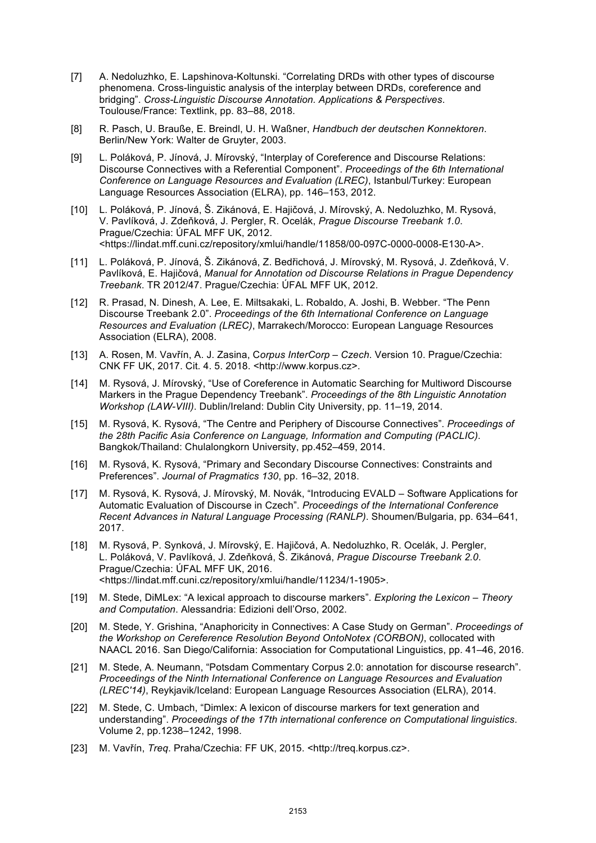- [7] A. Nedoluzhko, E. Lapshinova-Koltunski. "Correlating DRDs with other types of discourse phenomena. Cross-linguistic analysis of the interplay between DRDs, coreference and bridging". *Cross-Linguistic Discourse Annotation. Applications & Perspectives*. Toulouse/France: Textlink, pp. 83–88, 2018.
- [8] R. Pasch, U. Brauße, E. Breindl, U. H. Waßner, *Handbuch der deutschen Konnektoren*. Berlin/New York: Walter de Gruyter, 2003.
- [9] L. Poláková, P. Jínová, J. Mírovský, "Interplay of Coreference and Discourse Relations: Discourse Connectives with a Referential Component". *Proceedings of the 6th International Conference on Language Resources and Evaluation (LREC)*, Istanbul/Turkey: European Language Resources Association (ELRA), pp. 146–153, 2012.
- [10] L. Poláková, P. Jínová, Š. Zikánová, E. Hajičová, J. Mírovský, A. Nedoluzhko, M. Rysová, V. Pavlíková, J. Zdeňková, J. Pergler, R. Ocelák, *Prague Discourse Treebank 1.0*. Prague/Czechia: ÚFAL MFF UK, 2012. <https://lindat.mff.cuni.cz/repository/xmlui/handle/11858/00-097C-0000-0008-E130-A>.
- [11] L. Poláková, P. Jínová, Š. Zikánová, Z. Bedřichová, J. Mírovský, M. Rysová, J. Zdeňková, V. Pavlíková, E. Hajičová, *Manual for Annotation od Discourse Relations in Prague Dependency Treebank*. TR 2012/47. Prague/Czechia: ÚFAL MFF UK, 2012.
- [12] R. Prasad, N. Dinesh, A. Lee, E. Miltsakaki, L. Robaldo, A. Joshi, B. Webber. "The Penn Discourse Treebank 2.0". *Proceedings of the 6th International Conference on Language Resources and Evaluation (LREC)*, Marrakech/Morocco: European Language Resources Association (ELRA), 2008.
- [13] A. Rosen, M. Vavřín, A. J. Zasina, C*orpus InterCorp Czech*. Version 10. Prague/Czechia: CNK FF UK, 2017. Cit. 4. 5. 2018. <http://www.korpus.cz>.
- [14] M. Rysová, J. Mírovský, "Use of Coreference in Automatic Searching for Multiword Discourse Markers in the Prague Dependency Treebank". *Proceedings of the 8th Linguistic Annotation Workshop (LAW-VIII)*. Dublin/Ireland: Dublin City University, pp. 11–19, 2014.
- [15] M. Rysová, K. Rysová, "The Centre and Periphery of Discourse Connectives". *Proceedings of the 28th Pacific Asia Conference on Language, Information and Computing (PACLIC)*. Bangkok/Thailand: Chulalongkorn University, pp.452–459, 2014.
- [16] M. Rysová, K. Rysová, "Primary and Secondary Discourse Connectives: Constraints and Preferences". *Journal of Pragmatics 130*, pp. 16–32, 2018.
- [17] M. Rysová, K. Rysová, J. Mírovský, M. Novák, "Introducing EVALD Software Applications for Automatic Evaluation of Discourse in Czech". *Proceedings of the International Conference Recent Advances in Natural Language Processing (RANLP)*. Shoumen/Bulgaria, pp. 634–641, 2017.
- [18] M. Rysová, P. Synková, J. Mírovský, E. Hajičová, A. Nedoluzhko, R. Ocelák, J. Pergler, L. Poláková, V. Pavlíková, J. Zdeňková, Š. Zikánová, *Prague Discourse Treebank 2.0*. Prague/Czechia: ÚFAL MFF UK, 2016. <https://lindat.mff.cuni.cz/repository/xmlui/handle/11234/1-1905>.
- [19] M. Stede, DiMLex: "A lexical approach to discourse markers". *Exploring the Lexicon Theory and Computation*. Alessandria: Edizioni dell'Orso, 2002.
- [20] M. Stede, Y. Grishina, "Anaphoricity in Connectives: A Case Study on German". *Proceedings of the Workshop on Cereference Resolution Beyond OntoNotex (CORBON)*, collocated with NAACL 2016. San Diego/California: Association for Computational Linguistics, pp. 41–46, 2016.
- [21] M. Stede, A. Neumann, "Potsdam Commentary Corpus 2.0: annotation for discourse research". *Proceedings of the Ninth International Conference on Language Resources and Evaluation (LREC'14)*, Reykjavik/Iceland: European Language Resources Association (ELRA), 2014.
- [22] M. Stede, C. Umbach, "Dimlex: A lexicon of discourse markers for text generation and understanding". *Proceedings of the 17th international conference on Computational linguistics*. Volume 2, pp.1238–1242, 1998.
- [23] M. Vavřín, *Treq*. Praha/Czechia: FF UK, 2015. <http://treq.korpus.cz>.